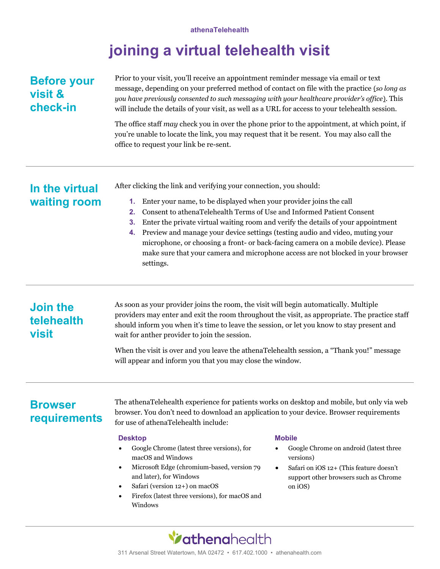### athenaTelehealth

# joining a virtual telehealth visit

# Before your visit & check-in

Prior to your visit, you'll receive an appointment reminder message via email or text message, depending on your preferred method of contact on file with the practice (so long as you have previously consented to such messaging with your healthcare provider's office). This will include the details of your visit, as well as a URL for access to your telehealth session.

The office staff may check you in over the phone prior to the appointment, at which point, if you're unable to locate the link, you may request that it be resent. You may also call the office to request your link be re-sent.

### In the virtual waiting room

After clicking the link and verifying your connection, you should:

- 1. Enter your name, to be displayed when your provider joins the call
- 2. Consent to athenaTelehealth Terms of Use and Informed Patient Consent
- 3. Enter the private virtual waiting room and verify the details of your appointment
- 4. Preview and manage your device settings (testing audio and video, muting your microphone, or choosing a front- or back-facing camera on a mobile device). Please make sure that your camera and microphone access are not blocked in your browser settings.

# Join the telehealth visit

As soon as your provider joins the room, the visit will begin automatically. Multiple providers may enter and exit the room throughout the visit, as appropriate. The practice staff should inform you when it's time to leave the session, or let you know to stay present and wait for anther provider to join the session.

When the visit is over and you leave the athenaTelehealth session, a "Thank you!" message will appear and inform you that you may close the window.

# **Browser** requirements

The athenaTelehealth experience for patients works on desktop and mobile, but only via web browser. You don't need to download an application to your device. Browser requirements for use of athenaTelehealth include:

### Desktop

- Google Chrome (latest three versions), for macOS and Windows
- Microsoft Edge (chromium-based, version 79 and later), for Windows
- Safari (version 12+) on macOS
- Firefox (latest three versions), for macOS and Windows

### **Mobile**

- Google Chrome on android (latest three versions)
- Safari on iOS 12+ (This feature doesn't support other browsers such as Chrome on iOS)

# Vathenghealth